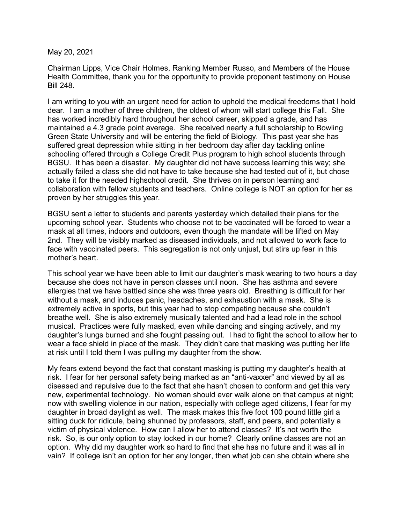May 20, 2021

Chairman Lipps, Vice Chair Holmes, Ranking Member Russo, and Members of the House Health Committee, thank you for the opportunity to provide proponent testimony on House Bill 248.

I am writing to you with an urgent need for action to uphold the medical freedoms that I hold dear. I am a mother of three children, the oldest of whom will start college this Fall. She has worked incredibly hard throughout her school career, skipped a grade, and has maintained a 4.3 grade point average. She received nearly a full scholarship to Bowling Green State University and will be entering the field of Biology. This past year she has suffered great depression while sitting in her bedroom day after day tackling online schooling offered through a College Credit Plus program to high school students through BGSU. It has been a disaster. My daughter did not have success learning this way; she actually failed a class she did not have to take because she had tested out of it, but chose to take it for the needed highschool credit. She thrives on in person learning and collaboration with fellow students and teachers. Online college is NOT an option for her as proven by her struggles this year.

BGSU sent a letter to students and parents yesterday which detailed their plans for the upcoming school year. Students who choose not to be vaccinated will be forced to wear a mask at all times, indoors and outdoors, even though the mandate will be lifted on May 2nd. They will be visibly marked as diseased individuals, and not allowed to work face to face with vaccinated peers. This segregation is not only unjust, but stirs up fear in this mother's heart.

This school year we have been able to limit our daughter's mask wearing to two hours a day because she does not have in person classes until noon. She has asthma and severe allergies that we have battled since she was three years old. Breathing is difficult for her without a mask, and induces panic, headaches, and exhaustion with a mask. She is extremely active in sports, but this year had to stop competing because she couldn't breathe well. She is also extremely musically talented and had a lead role in the school musical. Practices were fully masked, even while dancing and singing actively, and my daughter's lungs burned and she fought passing out. I had to fight the school to allow her to wear a face shield in place of the mask. They didn't care that masking was putting her life at risk until I told them I was pulling my daughter from the show.

My fears extend beyond the fact that constant masking is putting my daughter's health at risk. I fear for her personal safety being marked as an "anti-vaxxer" and viewed by all as diseased and repulsive due to the fact that she hasn't chosen to conform and get this very new, experimental technology. No woman should ever walk alone on that campus at night; now with swelling violence in our nation, especially with college aged citizens, I fear for my daughter in broad daylight as well. The mask makes this five foot 100 pound little girl a sitting duck for ridicule, being shunned by professors, staff, and peers, and potentially a victim of physical violence. How can I allow her to attend classes? It's not worth the risk. So, is our only option to stay locked in our home? Clearly online classes are not an option. Why did my daughter work so hard to find that she has no future and it was all in vain? If college isn't an option for her any longer, then what job can she obtain where she